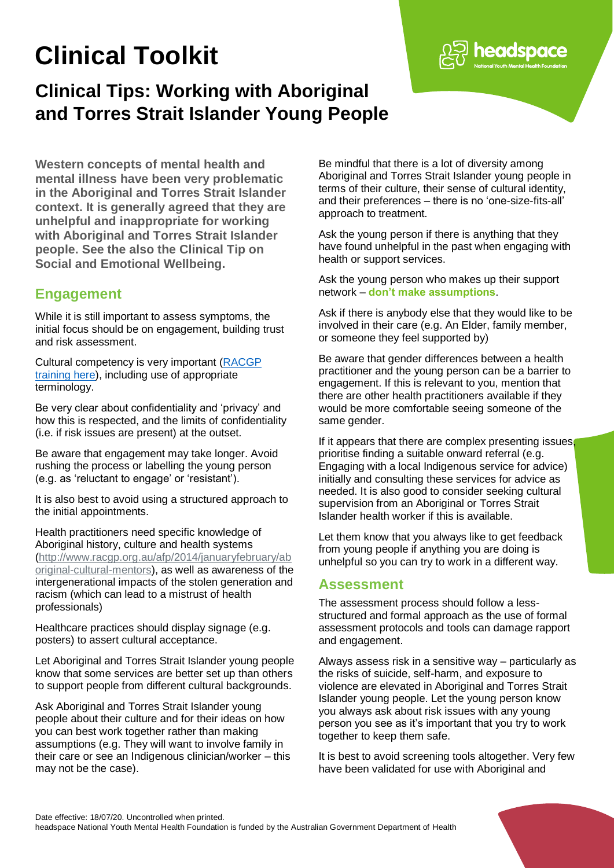# **Clinical Toolkit**

# **Clinical Tips: Working with Aboriginal and Torres Strait Islander Young People**

**Western concepts of mental health and mental illness have been very problematic in the Aboriginal and Torres Strait Islander context. It is generally agreed that they are unhelpful and inappropriate for working with Aboriginal and Torres Strait Islander people. See the also the Clinical Tip on Social and Emotional Wellbeing.**

## **Engagement**

While it is still important to assess symptoms, the initial focus should be on engagement, building trust and risk assessment.

Cultural competency is very important [\(RACGP](https://www.racgp.org.au/the-racgp/faculties/atsi/education/post-fellowship/cultural-awareness-and-cultural-safety-training)  [training here\)](https://www.racgp.org.au/the-racgp/faculties/atsi/education/post-fellowship/cultural-awareness-and-cultural-safety-training), including use of appropriate terminology.

Be very clear about confidentiality and 'privacy' and how this is respected, and the limits of confidentiality (i.e. if risk issues are present) at the outset.

Be aware that engagement may take longer. Avoid rushing the process or labelling the young person (e.g. as 'reluctant to engage' or 'resistant').

It is also best to avoid using a structured approach to the initial appointments.

Health practitioners need specific knowledge of Aboriginal history, culture and health systems [\(http://www.racgp.org.au/afp/2014/januaryfebruary/ab](http://www.racgp.org.au/afp/2014/januaryfebruary/aboriginal-cultural-mentors) [original-cultural-mentors\)](http://www.racgp.org.au/afp/2014/januaryfebruary/aboriginal-cultural-mentors), as well as awareness of the intergenerational impacts of the stolen generation and racism (which can lead to a mistrust of health professionals)

Healthcare practices should display signage (e.g. posters) to assert cultural acceptance.

Let Aboriginal and Torres Strait Islander young people know that some services are better set up than others to support people from different cultural backgrounds.

Ask Aboriginal and Torres Strait Islander young people about their culture and for their ideas on how you can best work together rather than making assumptions (e.g. They will want to involve family in their care or see an Indigenous clinician/worker – this may not be the case).

Be mindful that there is a lot of diversity among Aboriginal and Torres Strait Islander young people in terms of their culture, their sense of cultural identity, and their preferences – there is no 'one-size-fits-all' approach to treatment.

headspace

Ask the young person if there is anything that they have found unhelpful in the past when engaging with health or support services.

Ask the young person who makes up their support network – **don't make assumptions**.

Ask if there is anybody else that they would like to be involved in their care (e.g. An Elder, family member, or someone they feel supported by)

Be aware that gender differences between a health practitioner and the young person can be a barrier to engagement. If this is relevant to you, mention that there are other health practitioners available if they would be more comfortable seeing someone of the same gender.

If it appears that there are complex presenting issues, prioritise finding a suitable onward referral (e.g. Engaging with a local Indigenous service for advice) initially and consulting these services for advice as needed. It is also good to consider seeking cultural supervision from an Aboriginal or Torres Strait Islander health worker if this is available.

Let them know that you always like to get feedback from young people if anything you are doing is unhelpful so you can try to work in a different way.

#### **Assessment**

The assessment process should follow a lessstructured and formal approach as the use of formal assessment protocols and tools can damage rapport and engagement.

Always assess risk in a sensitive way – particularly as the risks of suicide, self-harm, and exposure to violence are elevated in Aboriginal and Torres Strait Islander young people. Let the young person know you always ask about risk issues with any young person you see as it's important that you try to work together to keep them safe.

It is best to avoid screening tools altogether. Very few have been validated for use with Aboriginal and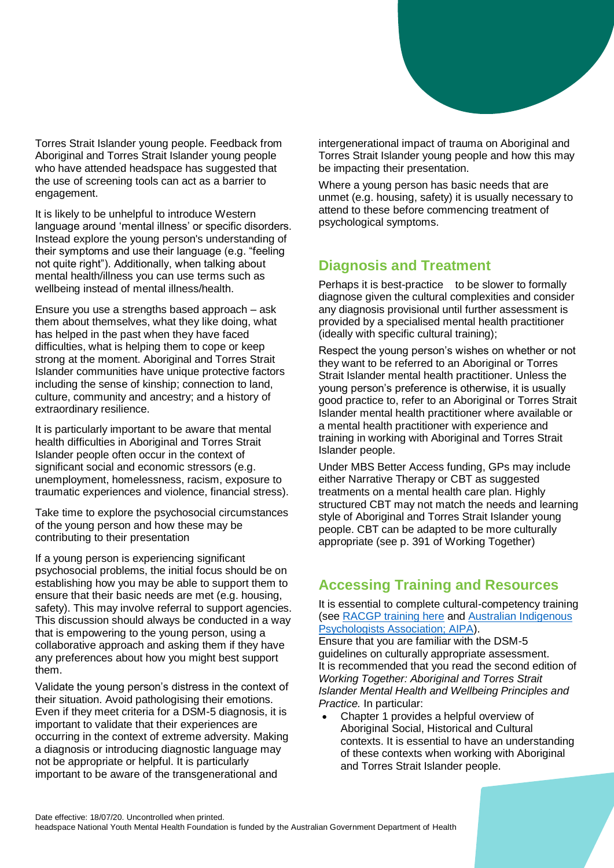

Torres Strait Islander young people. Feedback from Aboriginal and Torres Strait Islander young people who have attended headspace has suggested that the use of screening tools can act as a barrier to engagement.

It is likely to be unhelpful to introduce Western language around 'mental illness' or specific disorders. Instead explore the young person's understanding of their symptoms and use their language (e.g. "feeling not quite right"). Additionally, when talking about mental health/illness you can use terms such as wellbeing instead of mental illness/health.

Ensure you use a strengths based approach – ask them about themselves, what they like doing, what has helped in the past when they have faced difficulties, what is helping them to cope or keep strong at the moment. Aboriginal and Torres Strait Islander communities have unique protective factors including the sense of kinship; connection to land, culture, community and ancestry; and a history of extraordinary resilience.

It is particularly important to be aware that mental health difficulties in Aboriginal and Torres Strait Islander people often occur in the context of significant social and economic stressors (e.g. unemployment, homelessness, racism, exposure to traumatic experiences and violence, financial stress).

Take time to explore the psychosocial circumstances of the young person and how these may be contributing to their presentation

If a young person is experiencing significant psychosocial problems, the initial focus should be on establishing how you may be able to support them to ensure that their basic needs are met (e.g. housing, safety). This may involve referral to support agencies. This discussion should always be conducted in a way that is empowering to the young person, using a collaborative approach and asking them if they have any preferences about how you might best support them.

Validate the young person's distress in the context of their situation. Avoid pathologising their emotions. Even if they meet criteria for a DSM-5 diagnosis, it is important to validate that their experiences are occurring in the context of extreme adversity. Making a diagnosis or introducing diagnostic language may not be appropriate or helpful. It is particularly important to be aware of the transgenerational and

intergenerational impact of trauma on Aboriginal and Torres Strait Islander young people and how this may be impacting their presentation.

Where a young person has basic needs that are unmet (e.g. housing, safety) it is usually necessary to attend to these before commencing treatment of psychological symptoms.

# **Diagnosis and Treatment**

Perhaps it is best-practice to be slower to formally diagnose given the cultural complexities and consider any diagnosis provisional until further assessment is provided by a specialised mental health practitioner (ideally with specific cultural training);

Respect the young person's wishes on whether or not they want to be referred to an Aboriginal or Torres Strait Islander mental health practitioner. Unless the young person's preference is otherwise, it is usually good practice to, refer to an Aboriginal or Torres Strait Islander mental health practitioner where available or a mental health practitioner with experience and training in working with Aboriginal and Torres Strait Islander people.

Under MBS Better Access funding, GPs may include either Narrative Therapy or CBT as suggested treatments on a mental health care plan. Highly structured CBT may not match the needs and learning style of Aboriginal and Torres Strait Islander young people. CBT can be adapted to be more culturally appropriate (see p. 391 of Working Together)

# **Accessing Training and Resources**

It is essential to complete cultural-competency training (see [RACGP training here](https://www.racgp.org.au/the-racgp/faculties/atsi/education/post-fellowship/cultural-awareness-and-cultural-safety-training) and [Australian Indigenous](http://www.culturalcompetence.net.au/)  [Psychologists Association; AIPA\)](http://www.culturalcompetence.net.au/).

Ensure that you are familiar with the DSM-5 guidelines on culturally appropriate assessment. It is recommended that you read the second edition of *Working Together: Aboriginal and Torres Strait Islander Mental Health and Wellbeing Principles and Practice.* In particular:

 Chapter 1 provides a helpful overview of Aboriginal Social, Historical and Cultural contexts. It is essential to have an understanding of these contexts when working with Aboriginal and Torres Strait Islander people.